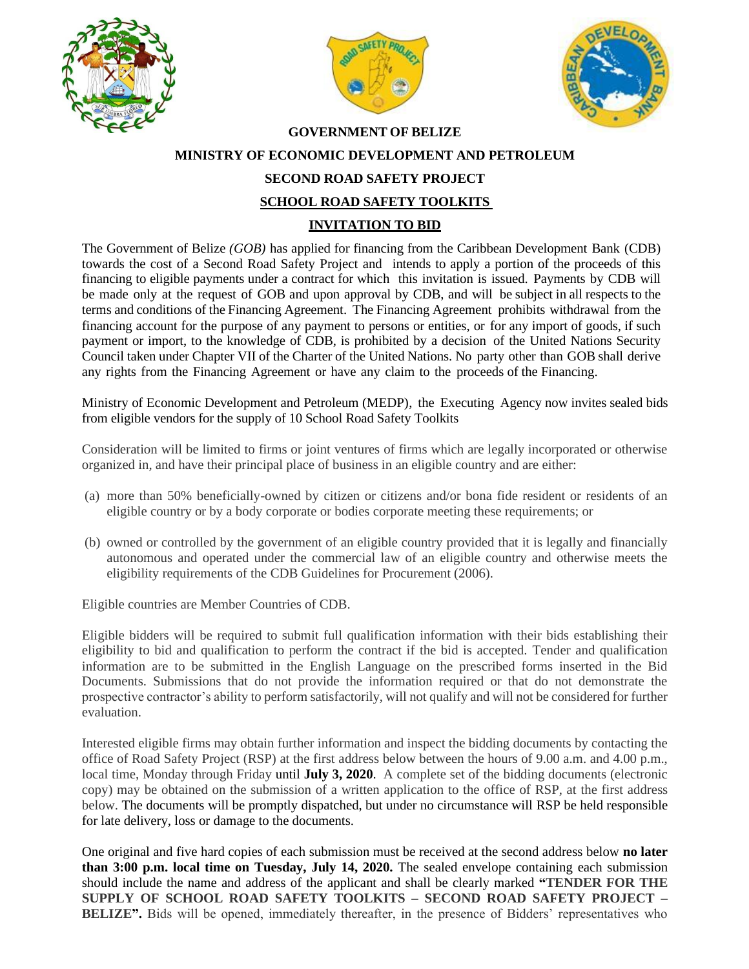





## **GOVERNMENT OF BELIZE MINISTRY OF ECONOMIC DEVELOPMENT AND PETROLEUM SECOND ROAD SAFETY PROJECT SCHOOL ROAD SAFETY TOOLKITS INVITATION TO BID**

The Government of Belize *(GOB)* has applied for financing from the Caribbean Development Bank (CDB) towards the cost of a Second Road Safety Project and intends to apply a portion of the proceeds of this financing to eligible payments under a contract for which this invitation is issued. Payments by CDB will be made only at the request of GOB and upon approval by CDB, and will be subject in all respects to the terms and conditions of the Financing Agreement. The Financing Agreement prohibits withdrawal from the financing account for the purpose of any payment to persons or entities, or for any import of goods, if such payment or import, to the knowledge of CDB, is prohibited by a decision of the United Nations Security Council taken under Chapter VII of the Charter of the United Nations. No party other than GOB shall derive any rights from the Financing Agreement or have any claim to the proceeds of the Financing.

Ministry of Economic Development and Petroleum (MEDP), the Executing Agency now invites sealed bids from eligible vendors for the supply of 10 School Road Safety Toolkits

Consideration will be limited to firms or joint ventures of firms which are legally incorporated or otherwise organized in, and have their principal place of business in an eligible country and are either:

- (a) more than 50% beneficially-owned by citizen or citizens and/or bona fide resident or residents of an eligible country or by a body corporate or bodies corporate meeting these requirements; or
- (b) owned or controlled by the government of an eligible country provided that it is legally and financially autonomous and operated under the commercial law of an eligible country and otherwise meets the eligibility requirements of the CDB Guidelines for Procurement (2006).

Eligible countries are Member Countries of CDB.

Eligible bidders will be required to submit full qualification information with their bids establishing their eligibility to bid and qualification to perform the contract if the bid is accepted. Tender and qualification information are to be submitted in the English Language on the prescribed forms inserted in the Bid Documents. Submissions that do not provide the information required or that do not demonstrate the prospective contractor's ability to perform satisfactorily, will not qualify and will not be considered for further evaluation.

Interested eligible firms may obtain further information and inspect the bidding documents by contacting the office of Road Safety Project (RSP) at the first address below between the hours of 9.00 a.m. and 4.00 p.m., local time, Monday through Friday until **July 3, 2020**. A complete set of the bidding documents (electronic copy) may be obtained on the submission of a written application to the office of RSP, at the first address below. The documents will be promptly dispatched, but under no circumstance will RSP be held responsible for late delivery, loss or damage to the documents.

One original and five hard copies of each submission must be received at the second address below **no later than 3:00 p.m. local time on Tuesday, July 14, 2020.** The sealed envelope containing each submission should include the name and address of the applicant and shall be clearly marked **"TENDER FOR THE SUPPLY OF SCHOOL ROAD SAFETY TOOLKITS – SECOND ROAD SAFETY PROJECT – BELIZE".** Bids will be opened, immediately thereafter, in the presence of Bidders' representatives who